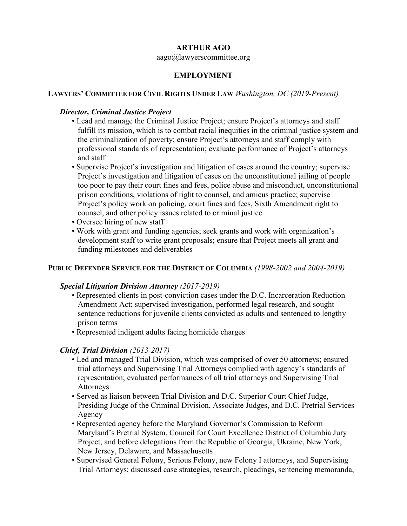## **ARTHUR AGO**

aago@lawyerscommittee.org

## **EMPLOYMENT**

### **LAWYERS' COMMITTEE FOR CIVIL RIGHTS UNDER LAW** *Washington, DC (2019-Present)*

#### *Director, Criminal Justice Project*

- Lead and manage the Criminal Justice Project; ensure Project's attorneys and staff fulfill its mission, which is to combat racial inequities in the criminal justice system and the criminalization of poverty; ensure Project's attorneys and staff comply with professional standards of representation; evaluate performance of Project's attorneys and staff
- Supervise Project's investigation and litigation of cases around the country; supervise Project's investigation and litigation of cases on the unconstitutional jailing of people too poor to pay their court fines and fees, police abuse and misconduct, unconstitutional prison conditions, violations of right to counsel, and amicus practice; supervise Project's policy work on policing, court fines and fees, Sixth Amendment right to counsel, and other policy issues related to criminal justice
- Oversee hiring of new staff
- Work with grant and funding agencies; seek grants and work with organization's development staff to write grant proposals; ensure that Project meets all grant and funding milestones and deliverables

#### **PUBLIC DEFENDER SERVICE FOR THE DISTRICT OF COLUMBIA** *(1998-2002 and 2004-2019)*

#### *Special Litigation Division Attorney (2017-2019)*

- Represented clients in post-conviction cases under the D.C. Incarceration Reduction Amendment Act; supervised investigation, performed legal research, and sought sentence reductions for juvenile clients convicted as adults and sentenced to lengthy prison terms
- Represented indigent adults facing homicide charges

## *Chief, Trial Division (2013-2017)*

- Led and managed Trial Division, which was comprised of over 50 attorneys; ensured trial attorneys and Supervising Trial Attorneys complied with agency's standards of representation; evaluated performances of all trial attorneys and Supervising Trial **Attorneys**
- Served as liaison between Trial Division and D.C. Superior Court Chief Judge, Presiding Judge of the Criminal Division, Associate Judges, and D.C. Pretrial Services Agency
- Represented agency before the Maryland Governor's Commission to Reform Maryland's Pretrial System, Council for Court Excellence District of Columbia Jury Project, and before delegations from the Republic of Georgia, Ukraine, New York, New Jersey, Delaware, and Massachusetts
- Supervised General Felony, Serious Felony, new Felony I attorneys, and Supervising Trial Attorneys; discussed case strategies, research, pleadings, sentencing memoranda,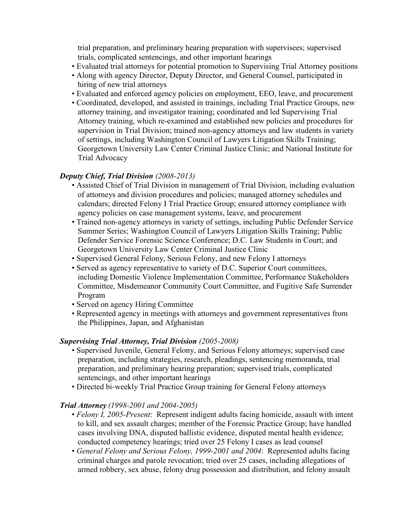trial preparation, and preliminary hearing preparation with supervisees; supervised trials, complicated sentencings, and other important hearings

- Evaluated trial attorneys for potential promotion to Supervising Trial Attorney positions
- Along with agency Director, Deputy Director, and General Counsel, participated in hiring of new trial attorneys
- Evaluated and enforced agency policies on employment, EEO, leave, and procurement
- Coordinated, developed, and assisted in trainings, including Trial Practice Groups, new attorney training, and investigator training; coordinated and led Supervising Trial Attorney training, which re-examined and established new policies and procedures for supervision in Trial Division; trained non-agency attorneys and law students in variety of settings, including Washington Council of Lawyers Litigation Skills Training; Georgetown University Law Center Criminal Justice Clinic; and National Institute for Trial Advocacy

#### *Deputy Chief, Trial Division (2008-2013)*

- Assisted Chief of Trial Division in management of Trial Division, including evaluation of attorneys and division procedures and policies; managed attorney schedules and calendars; directed Felony I Trial Practice Group; ensured attorney compliance with agency policies on case management systems, leave, and procurement
- Trained non-agency attorneys in variety of settings, including Public Defender Service Summer Series; Washington Council of Lawyers Litigation Skills Training; Public Defender Service Forensic Science Conference; D.C. Law Students in Court; and Georgetown University Law Center Criminal Justice Clinic
- Supervised General Felony, Serious Felony, and new Felony I attorneys
- Served as agency representative to variety of D.C. Superior Court committees, including Domestic Violence Implementation Committee, Performance Stakeholders Committee, Misdemeanor Community Court Committee, and Fugitive Safe Surrender Program
- Served on agency Hiring Committee
- Represented agency in meetings with attorneys and government representatives from the Philippines, Japan, and Afghanistan

#### *Supervising Trial Attorney, Trial Division (2005-2008)*

- Supervised Juvenile, General Felony, and Serious Felony attorneys; supervised case preparation, including strategies, research, pleadings, sentencing memoranda, trial preparation, and preliminary hearing preparation; supervised trials, complicated sentencings, and other important hearings
- Directed bi-weekly Trial Practice Group training for General Felony attorneys

#### *Trial Attorney (1998-2001 and 2004-2005)*

- *Felony I, 2005-Present*: Represent indigent adults facing homicide, assault with intent to kill, and sex assault charges; member of the Forensic Practice Group; have handled cases involving DNA, disputed ballistic evidence, disputed mental health evidence; conducted competency hearings; tried over 25 Felony I cases as lead counsel
- *General Felony and Serious Felony, 1999-2001 and 2004*: Represented adults facing criminal charges and parole revocation; tried over 25 cases, including allegations of armed robbery, sex abuse, felony drug possession and distribution, and felony assault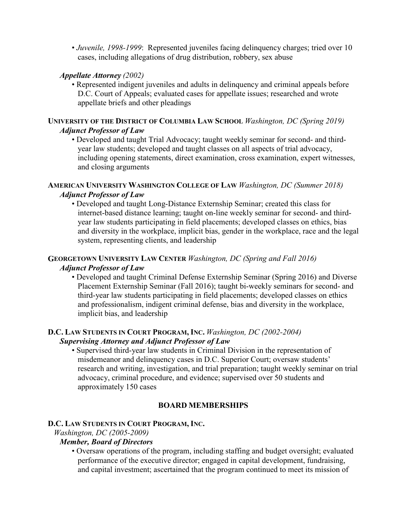• *Juvenile, 1998-1999*: Represented juveniles facing delinquency charges; tried over 10 cases, including allegations of drug distribution, robbery, sex abuse

# *Appellate Attorney (2002)*

• Represented indigent juveniles and adults in delinquency and criminal appeals before D.C. Court of Appeals; evaluated cases for appellate issues; researched and wrote appellate briefs and other pleadings

### **UNIVERSITY OF THE DISTRICT OF COLUMBIA LAW SCHOOL** *Washington, DC (Spring 2019) Adjunct Professor of Law*

• Developed and taught Trial Advocacy; taught weekly seminar for second- and thirdyear law students; developed and taught classes on all aspects of trial advocacy, including opening statements, direct examination, cross examination, expert witnesses, and closing arguments

## **AMERICAN UNIVERSITY WASHINGTON COLLEGE OF LAW** *Washington, DC (Summer 2018) Adjunct Professor of Law*

• Developed and taught Long-Distance Externship Seminar; created this class for internet-based distance learning; taught on-line weekly seminar for second- and thirdyear law students participating in field placements; developed classes on ethics, bias and diversity in the workplace, implicit bias, gender in the workplace, race and the legal system, representing clients, and leadership

# **GEORGETOWN UNIVERSITY LAW CENTER** *Washington, DC (Spring and Fall 2016)*

## *Adjunct Professor of Law*

• Developed and taught Criminal Defense Externship Seminar (Spring 2016) and Diverse Placement Externship Seminar (Fall 2016); taught bi-weekly seminars for second- and third-year law students participating in field placements; developed classes on ethics and professionalism, indigent criminal defense, bias and diversity in the workplace, implicit bias, and leadership

## **D.C. LAW STUDENTS IN COURT PROGRAM, INC.** *Washington, DC (2002-2004) Supervising Attorney and Adjunct Professor of Law*

• Supervised third-year law students in Criminal Division in the representation of misdemeanor and delinquency cases in D.C. Superior Court; oversaw students' research and writing, investigation, and trial preparation; taught weekly seminar on trial advocacy, criminal procedure, and evidence; supervised over 50 students and approximately 150 cases

# **BOARD MEMBERSHIPS**

# **D.C. LAW STUDENTS IN COURT PROGRAM, INC.**

*Washington, DC (2005-2009)*

## *Member, Board of Directors*

• Oversaw operations of the program, including staffing and budget oversight; evaluated performance of the executive director; engaged in capital development, fundraising, and capital investment; ascertained that the program continued to meet its mission of